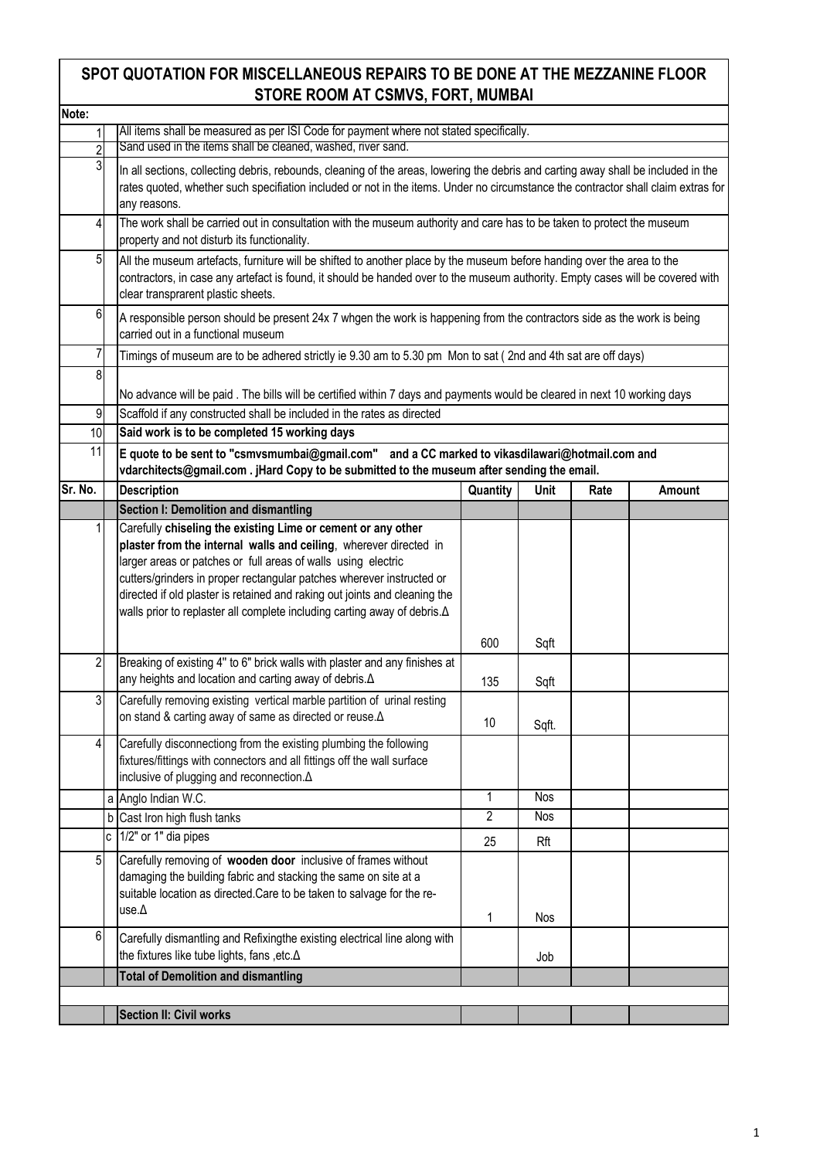## **SPOT QUOTATION FOR MISCELLANEOUS REPAIRS TO BE DONE AT THE MEZZANINE FLOOR STORE ROOM AT CSMVS, FORT, MUMBAI**

| Note:          |   |                                                                                                                                                                                                                                                                                                                                                                                                                                        |                 |            |      |        |  |  |
|----------------|---|----------------------------------------------------------------------------------------------------------------------------------------------------------------------------------------------------------------------------------------------------------------------------------------------------------------------------------------------------------------------------------------------------------------------------------------|-----------------|------------|------|--------|--|--|
|                |   | All items shall be measured as per ISI Code for payment where not stated specifically.                                                                                                                                                                                                                                                                                                                                                 |                 |            |      |        |  |  |
| $\overline{2}$ |   | Sand used in the items shall be cleaned, washed, river sand.                                                                                                                                                                                                                                                                                                                                                                           |                 |            |      |        |  |  |
| $\overline{3}$ |   | In all sections, collecting debris, rebounds, cleaning of the areas, lowering the debris and carting away shall be included in the<br>rates quoted, whether such specifiation included or not in the items. Under no circumstance the contractor shall claim extras for<br>any reasons.                                                                                                                                                |                 |            |      |        |  |  |
| 4              |   | The work shall be carried out in consultation with the museum authority and care has to be taken to protect the museum<br>property and not disturb its functionality.                                                                                                                                                                                                                                                                  |                 |            |      |        |  |  |
| $\overline{5}$ |   | All the museum artefacts, furniture will be shifted to another place by the museum before handing over the area to the<br>contractors, in case any artefact is found, it should be handed over to the museum authority. Empty cases will be covered with<br>clear transprarent plastic sheets.                                                                                                                                         |                 |            |      |        |  |  |
| $6 \mid$       |   | A responsible person should be present 24x 7 whgen the work is happening from the contractors side as the work is being<br>carried out in a functional museum                                                                                                                                                                                                                                                                          |                 |            |      |        |  |  |
| $\overline{7}$ |   | Timings of museum are to be adhered strictly ie 9.30 am to 5.30 pm Mon to sat (2nd and 4th sat are off days)                                                                                                                                                                                                                                                                                                                           |                 |            |      |        |  |  |
| 8              |   | No advance will be paid. The bills will be certified within 7 days and payments would be cleared in next 10 working days                                                                                                                                                                                                                                                                                                               |                 |            |      |        |  |  |
| 9              |   | Scaffold if any constructed shall be included in the rates as directed                                                                                                                                                                                                                                                                                                                                                                 |                 |            |      |        |  |  |
| 10             |   | Said work is to be completed 15 working days                                                                                                                                                                                                                                                                                                                                                                                           |                 |            |      |        |  |  |
| 11             |   | E quote to be sent to "csmvsmumbai@gmail.com" and a CC marked to vikasdilawari@hotmail.com and<br>vdarchitects@gmail.com. jHard Copy to be submitted to the museum after sending the email.                                                                                                                                                                                                                                            |                 |            |      |        |  |  |
| Sr. No.        |   | <b>Description</b>                                                                                                                                                                                                                                                                                                                                                                                                                     | Quantity        | Unit       | Rate | Amount |  |  |
|                |   | Section I: Demolition and dismantling                                                                                                                                                                                                                                                                                                                                                                                                  |                 |            |      |        |  |  |
| $\mathbf{1}$   |   | Carefully chiseling the existing Lime or cement or any other<br>plaster from the internal walls and ceiling, wherever directed in<br>larger areas or patches or full areas of walls using electric<br>cutters/grinders in proper rectangular patches wherever instructed or<br>directed if old plaster is retained and raking out joints and cleaning the<br>walls prior to replaster all complete including carting away of debris. A |                 |            |      |        |  |  |
|                |   |                                                                                                                                                                                                                                                                                                                                                                                                                                        | 600             | Sqft       |      |        |  |  |
| $\overline{2}$ |   | Breaking of existing 4" to 6" brick walls with plaster and any finishes at<br>any heights and location and carting away of debris. A                                                                                                                                                                                                                                                                                                   | 135             | Sqft       |      |        |  |  |
| 3              |   | Carefully removing existing vertical marble partition of urinal resting<br>on stand & carting away of same as directed or reuse. A                                                                                                                                                                                                                                                                                                     | 10 <sup>°</sup> | Sqft.      |      |        |  |  |
| 4              |   | Carefully disconnectiong from the existing plumbing the following<br>fixtures/fittings with connectors and all fittings off the wall surface<br>inclusive of plugging and reconnection. A                                                                                                                                                                                                                                              |                 |            |      |        |  |  |
|                |   | a Anglo Indian W.C.                                                                                                                                                                                                                                                                                                                                                                                                                    | 1               | Nos        |      |        |  |  |
|                |   | b Cast Iron high flush tanks                                                                                                                                                                                                                                                                                                                                                                                                           | $\overline{2}$  | <b>Nos</b> |      |        |  |  |
|                | C | 1/2" or 1" dia pipes                                                                                                                                                                                                                                                                                                                                                                                                                   | 25              | Rft        |      |        |  |  |
| 5 <sub>l</sub> |   | Carefully removing of wooden door inclusive of frames without<br>damaging the building fabric and stacking the same on site at a<br>suitable location as directed. Care to be taken to salvage for the re-<br>use. $\Delta$                                                                                                                                                                                                            | 1               | <b>Nos</b> |      |        |  |  |
| 6              |   | Carefully dismantling and Refixingthe existing electrical line along with<br>the fixtures like tube lights, fans , etc. A                                                                                                                                                                                                                                                                                                              |                 | Job        |      |        |  |  |
|                |   | <b>Total of Demolition and dismantling</b>                                                                                                                                                                                                                                                                                                                                                                                             |                 |            |      |        |  |  |
|                |   |                                                                                                                                                                                                                                                                                                                                                                                                                                        |                 |            |      |        |  |  |
|                |   | Section II: Civil works                                                                                                                                                                                                                                                                                                                                                                                                                |                 |            |      |        |  |  |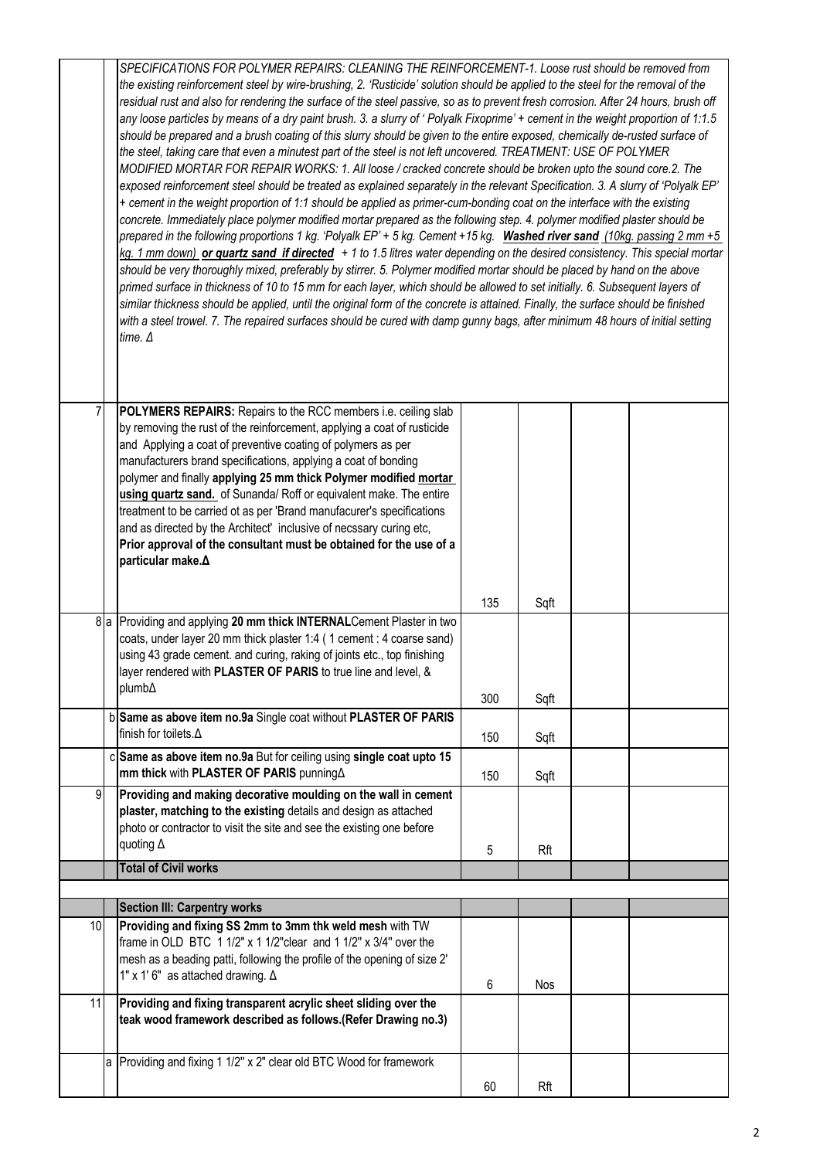|    | SPECIFICATIONS FOR POLYMER REPAIRS: CLEANING THE REINFORCEMENT-1. Loose rust should be removed from<br>the existing reinforcement steel by wire-brushing, 2. 'Rusticide' solution should be applied to the steel for the removal of the<br>residual rust and also for rendering the surface of the steel passive, so as to prevent fresh corrosion. After 24 hours, brush off<br>any loose particles by means of a dry paint brush. 3. a slurry of 'Polyalk Fixoprime' + cement in the weight proportion of 1:1.5<br>should be prepared and a brush coating of this slurry should be given to the entire exposed, chemically de-rusted surface of<br>the steel, taking care that even a minutest part of the steel is not left uncovered. TREATMENT: USE OF POLYMER<br>MODIFIED MORTAR FOR REPAIR WORKS: 1. All loose / cracked concrete should be broken upto the sound core.2. The<br>exposed reinforcement steel should be treated as explained separately in the relevant Specification. 3. A slurry of 'Polyalk EP'<br>+ cement in the weight proportion of 1:1 should be applied as primer-cum-bonding coat on the interface with the existing<br>concrete. Immediately place polymer modified mortar prepared as the following step. 4. polymer modified plaster should be<br>prepared in the following proportions 1 kg. 'Polyalk EP' + 5 kg. Cement +15 kg. Washed river sand (10kg. passing 2 mm +5<br>$kg. 1 \, \text{mm}$ down) or quartz sand if directed $+1$ to 1.5 litres water depending on the desired consistency. This special mortar<br>should be very thoroughly mixed, preferably by stirrer. 5. Polymer modified mortar should be placed by hand on the above<br>primed surface in thickness of 10 to 15 mm for each layer, which should be allowed to set initially. 6. Subsequent layers of<br>similar thickness should be applied, until the original form of the concrete is attained. Finally, the surface should be finished<br>with a steel trowel. 7. The repaired surfaces should be cured with damp gunny bags, after minimum 48 hours of initial setting<br>time. $\Delta$ |     |      |  |  |  |  |
|----|---------------------------------------------------------------------------------------------------------------------------------------------------------------------------------------------------------------------------------------------------------------------------------------------------------------------------------------------------------------------------------------------------------------------------------------------------------------------------------------------------------------------------------------------------------------------------------------------------------------------------------------------------------------------------------------------------------------------------------------------------------------------------------------------------------------------------------------------------------------------------------------------------------------------------------------------------------------------------------------------------------------------------------------------------------------------------------------------------------------------------------------------------------------------------------------------------------------------------------------------------------------------------------------------------------------------------------------------------------------------------------------------------------------------------------------------------------------------------------------------------------------------------------------------------------------------------------------------------------------------------------------------------------------------------------------------------------------------------------------------------------------------------------------------------------------------------------------------------------------------------------------------------------------------------------------------------------------------------------------------------------------------------------------------------------------------------------------------------------------|-----|------|--|--|--|--|
| 7  | POLYMERS REPAIRS: Repairs to the RCC members i.e. ceiling slab<br>by removing the rust of the reinforcement, applying a coat of rusticide<br>and Applying a coat of preventive coating of polymers as per<br>manufacturers brand specifications, applying a coat of bonding<br>polymer and finally applying 25 mm thick Polymer modified mortar<br>using quartz sand. of Sunanda/ Roff or equivalent make. The entire<br>treatment to be carried ot as per 'Brand manufacurer's specifications<br>and as directed by the Architect' inclusive of necssary curing etc,<br>Prior approval of the consultant must be obtained for the use of a<br>particular make. $\Delta$                                                                                                                                                                                                                                                                                                                                                                                                                                                                                                                                                                                                                                                                                                                                                                                                                                                                                                                                                                                                                                                                                                                                                                                                                                                                                                                                                                                                                                      |     |      |  |  |  |  |
|    |                                                                                                                                                                                                                                                                                                                                                                                                                                                                                                                                                                                                                                                                                                                                                                                                                                                                                                                                                                                                                                                                                                                                                                                                                                                                                                                                                                                                                                                                                                                                                                                                                                                                                                                                                                                                                                                                                                                                                                                                                                                                                                               | 135 | Sqft |  |  |  |  |
|    | 8 a Providing and applying 20 mm thick INTERNAL Cement Plaster in two<br>coats, under layer 20 mm thick plaster 1:4 (1 cement : 4 coarse sand)<br>using 43 grade cement. and curing, raking of joints etc., top finishing<br>layer rendered with PLASTER OF PARIS to true line and level, &<br>plumb∆                                                                                                                                                                                                                                                                                                                                                                                                                                                                                                                                                                                                                                                                                                                                                                                                                                                                                                                                                                                                                                                                                                                                                                                                                                                                                                                                                                                                                                                                                                                                                                                                                                                                                                                                                                                                         |     |      |  |  |  |  |
|    | b Same as above item no.9a Single coat without PLASTER OF PARIS                                                                                                                                                                                                                                                                                                                                                                                                                                                                                                                                                                                                                                                                                                                                                                                                                                                                                                                                                                                                                                                                                                                                                                                                                                                                                                                                                                                                                                                                                                                                                                                                                                                                                                                                                                                                                                                                                                                                                                                                                                               | 300 | Sqft |  |  |  |  |
|    | finish for toilets. $\Delta$                                                                                                                                                                                                                                                                                                                                                                                                                                                                                                                                                                                                                                                                                                                                                                                                                                                                                                                                                                                                                                                                                                                                                                                                                                                                                                                                                                                                                                                                                                                                                                                                                                                                                                                                                                                                                                                                                                                                                                                                                                                                                  | 150 | Sqft |  |  |  |  |
|    | c Same as above item no.9a But for ceiling using single coat upto 15<br>mm thick with PLASTER OF PARIS punning A                                                                                                                                                                                                                                                                                                                                                                                                                                                                                                                                                                                                                                                                                                                                                                                                                                                                                                                                                                                                                                                                                                                                                                                                                                                                                                                                                                                                                                                                                                                                                                                                                                                                                                                                                                                                                                                                                                                                                                                              | 150 | Sqft |  |  |  |  |
| 9  | Providing and making decorative moulding on the wall in cement<br>plaster, matching to the existing details and design as attached<br>photo or contractor to visit the site and see the existing one before<br>quoting $\Delta$                                                                                                                                                                                                                                                                                                                                                                                                                                                                                                                                                                                                                                                                                                                                                                                                                                                                                                                                                                                                                                                                                                                                                                                                                                                                                                                                                                                                                                                                                                                                                                                                                                                                                                                                                                                                                                                                               | 5   | Rft  |  |  |  |  |
|    | <b>Total of Civil works</b>                                                                                                                                                                                                                                                                                                                                                                                                                                                                                                                                                                                                                                                                                                                                                                                                                                                                                                                                                                                                                                                                                                                                                                                                                                                                                                                                                                                                                                                                                                                                                                                                                                                                                                                                                                                                                                                                                                                                                                                                                                                                                   |     |      |  |  |  |  |
|    | <b>Section III: Carpentry works</b>                                                                                                                                                                                                                                                                                                                                                                                                                                                                                                                                                                                                                                                                                                                                                                                                                                                                                                                                                                                                                                                                                                                                                                                                                                                                                                                                                                                                                                                                                                                                                                                                                                                                                                                                                                                                                                                                                                                                                                                                                                                                           |     |      |  |  |  |  |
| 10 | Providing and fixing SS 2mm to 3mm thk weld mesh with TW<br>frame in OLD BTC 1 1/2" x 1 1/2" clear and 1 1/2" x 3/4" over the<br>mesh as a beading patti, following the profile of the opening of size 2'<br>1" x 1' 6" as attached drawing. $\Delta$                                                                                                                                                                                                                                                                                                                                                                                                                                                                                                                                                                                                                                                                                                                                                                                                                                                                                                                                                                                                                                                                                                                                                                                                                                                                                                                                                                                                                                                                                                                                                                                                                                                                                                                                                                                                                                                         | 6   | Nos  |  |  |  |  |
| 11 | Providing and fixing transparent acrylic sheet sliding over the<br>teak wood framework described as follows.(Refer Drawing no.3)                                                                                                                                                                                                                                                                                                                                                                                                                                                                                                                                                                                                                                                                                                                                                                                                                                                                                                                                                                                                                                                                                                                                                                                                                                                                                                                                                                                                                                                                                                                                                                                                                                                                                                                                                                                                                                                                                                                                                                              |     |      |  |  |  |  |
|    | a Providing and fixing 1 1/2" x 2" clear old BTC Wood for framework                                                                                                                                                                                                                                                                                                                                                                                                                                                                                                                                                                                                                                                                                                                                                                                                                                                                                                                                                                                                                                                                                                                                                                                                                                                                                                                                                                                                                                                                                                                                                                                                                                                                                                                                                                                                                                                                                                                                                                                                                                           | 60  | Rft  |  |  |  |  |